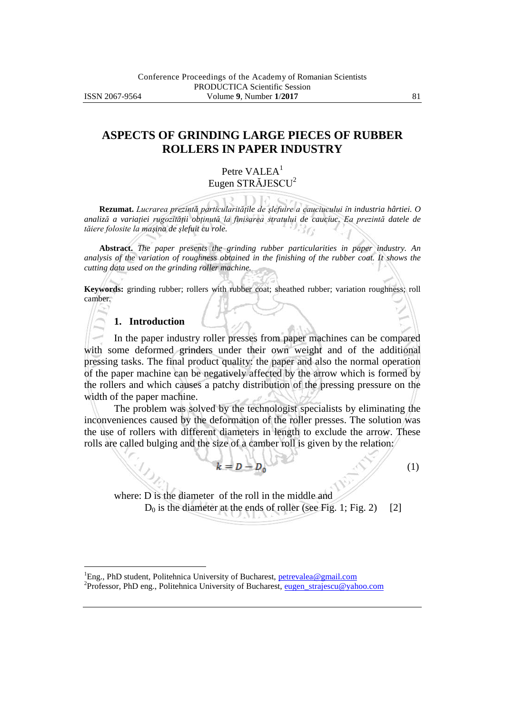## **ASPECTS OF GRINDING LARGE PIECES OF RUBBER ROLLERS IN PAPER INDUSTRY**

## Petre VALEA<sup>1</sup> Eugen STRĂJESCU<sup>2</sup>

**Rezumat.** *Lucrarea prezintă particularităţile de şlefuire a cauciucului în industria hârtiei. O analiză a variaţiei rugozităţii obţinută la finisarea stratului de cauciuc. Ea prezintă datele de tăiere folosite la maşina de şlefuit cu role.*

**Abstract.** *The paper presents the grinding rubber particularities in paper industry. An analysis of the variation of roughness obtained in the finishing of the rubber coat. It shows the cutting data used on the grinding roller machine.*

**Keywords:** grinding rubber; rollers with rubber coat; sheathed rubber; variation roughness; roll camber*.*

#### **1. Introduction**

In the paper industry roller presses from paper machines can be compared with some deformed grinders under their own weight and of the additional pressing tasks. The final product quality: the paper and also the normal operation of the paper machine can be negatively affected by the arrow which is formed by the rollers and which causes a patchy distribution of the pressing pressure on the width of the paper machine.

The problem was solved by the technologist specialists by eliminating the inconveniences caused by the deformation of the roller presses. The solution was the use of rollers with different diameters in length to exclude the arrow. These rolls are called bulging and the size of a camber roll is given by the relation:

# $k = D - D$

(1)

where: D is the diameter of the roll in the middle and  $D_0$  is the diameter at the ends of roller (see Fig. 1; Fig. 2) [2]

 $\overline{a}$ <sup>1</sup>Eng., PhD student, Politehnica University of Bucharest, [petrevalea@gmail.com](mailto:petrevalea@gmail.com) <sup>2</sup> Professor, PhD eng., Politehnica University of Bucharest, **eugen strajescu@yahoo.com**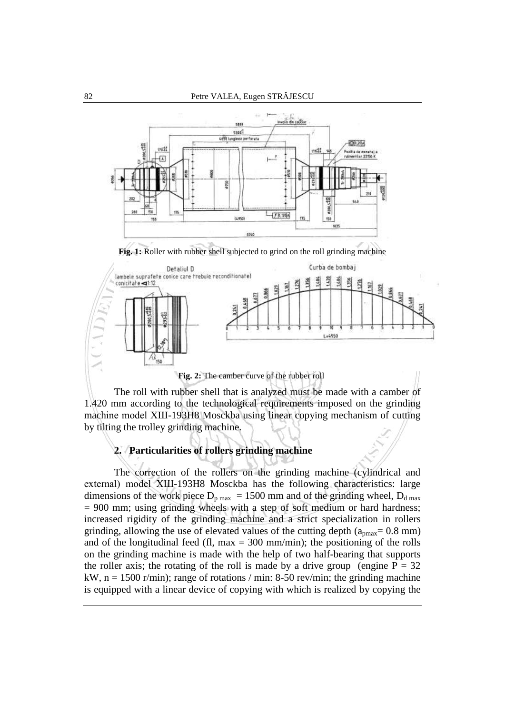

**Fig. 1:** Roller with rubber shell subjected to grind on the roll grinding machine



The roll with rubber shell that is analyzed must be made with a camber of 1.420 mm according to the technological requirements imposed on the grinding machine model XШ-193H8 Mosckba using linear copying mechanism of cutting by tilting the trolley grinding machine.

#### **2. Particularities of rollers grinding machine**

The correction of the rollers on the grinding machine (cylindrical and external) model XШ-193H8 Mosckba has the following characteristics: large dimensions of the work piece  $D_{p \text{ max}} = 1500 \text{ mm}$  and of the grinding wheel,  $D_{d \text{ max}}$  $= 900$  mm; using grinding wheels with a step of soft medium or hard hardness; increased rigidity of the grinding machine and a strict specialization in rollers grinding, allowing the use of elevated values of the cutting depth  $(a_{\text{pmax}}=0.8 \text{ mm})$ and of the longitudinal feed (fl,  $max = 300$  mm/min); the positioning of the rolls on the grinding machine is made with the help of two half-bearing that supports the roller axis; the rotating of the roll is made by a drive group (engine  $P = 32$ kW,  $n = 1500$  r/min); range of rotations / min: 8-50 rev/min; the grinding machine is equipped with a linear device of copying with which is realized by copying the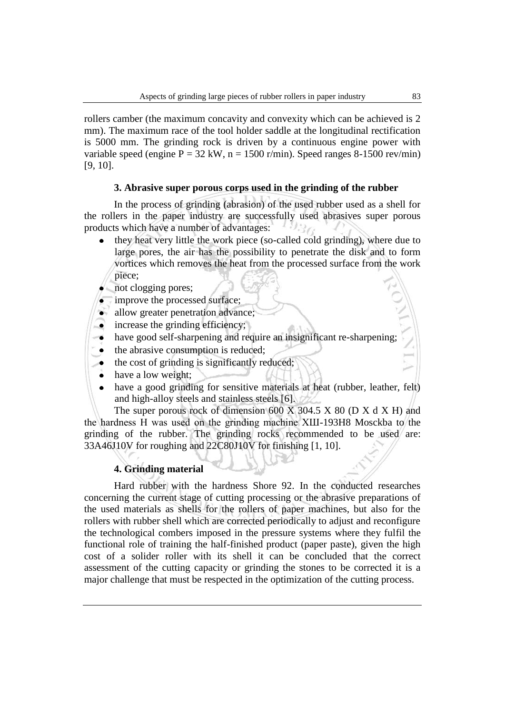rollers camber (the maximum concavity and convexity which can be achieved is 2 mm). The maximum race of the tool holder saddle at the longitudinal rectification is 5000 mm. The grinding rock is driven by a continuous engine power with variable speed (engine  $P = 32 \text{ kW}$ ,  $n = 1500 \text{ r/min}$ ). Speed ranges 8-1500 rev/min) [9, 10].

#### **3. Abrasive super porous corps used in the grinding of the rubber**

In the process of grinding (abrasion) of the used rubber used as a shell for the rollers in the paper industry are successfully used abrasives super porous products which have a number of advantages:

- they heat very little the work piece (so-called cold grinding), where due to large pores, the air has the possibility to penetrate the disk and to form vortices which removes the heat from the processed surface from the work piece;
- not clogging pores;
- improve the processed surface;
- allow greater penetration advance;
- increase the grinding efficiency;
- have good self-sharpening and require an insignificant re-sharpening;
- the abrasive consumption is reduced;
- the cost of grinding is significantly reduced;
- have a low weight;
- have a good grinding for sensitive materials at heat (rubber, leather, felt) and high-alloy steels and stainless steels [6].

The super porous rock of dimension  $600 \text{ X } 304.5 \text{ X } 80 \text{ (D X d X H)}$  and the hardness H was used on the grinding machine XШ-193H8 Mosckba to the grinding of the rubber. The grinding rocks recommended to be used are: 33A46J10V for roughing and 22C80J10V for finishing [1, 10].

#### **4. Grinding material**

Hard rubber with the hardness Shore 92. In the conducted researches concerning the current stage of cutting processing or the abrasive preparations of the used materials as shells for the rollers of paper machines, but also for the rollers with rubber shell which are corrected periodically to adjust and reconfigure the technological combers imposed in the pressure systems where they fulfil the functional role of training the half-finished product (paper paste), given the high cost of a solider roller with its shell it can be concluded that the correct assessment of the cutting capacity or grinding the stones to be corrected it is a major challenge that must be respected in the optimization of the cutting process.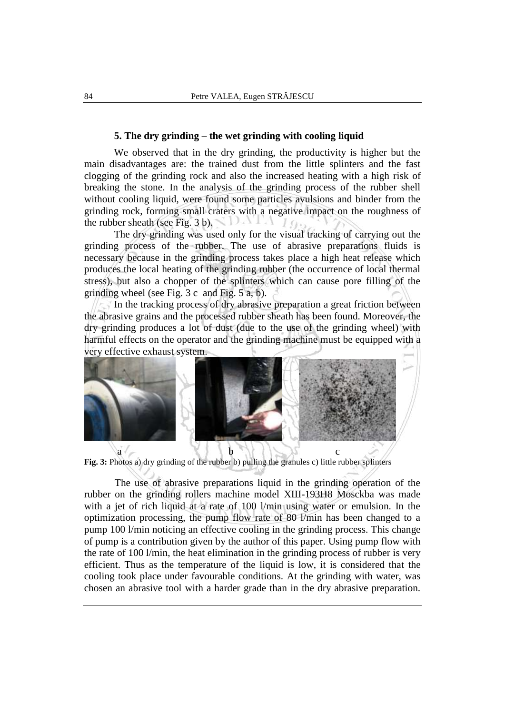#### **5. The dry grinding – the wet grinding with cooling liquid**

We observed that in the dry grinding, the productivity is higher but the main disadvantages are: the trained dust from the little splinters and the fast clogging of the grinding rock and also the increased heating with a high risk of breaking the stone. In the analysis of the grinding process of the rubber shell without cooling liquid, were found some particles avulsions and binder from the grinding rock, forming small craters with a negative impact on the roughness of the rubber sheath (see Fig. 3 b).

The dry grinding was used only for the visual tracking of carrying out the grinding process of the rubber. The use of abrasive preparations fluids is necessary because in the grinding process takes place a high heat release which produces the local heating of the grinding rubber (the occurrence of local thermal stress), but also a chopper of the splinters which can cause pore filling of the grinding wheel (see Fig. 3 c and Fig. 5 a, b).

In the tracking process of dry abrasive preparation a great friction between the abrasive grains and the processed rubber sheath has been found. Moreover, the dry grinding produces a lot of dust (due to the use of the grinding wheel) with harmful effects on the operator and the grinding machine must be equipped with a very effective exhaust system.



Fig. 3: Photos a) dry grinding of the rubber b) pulling the granules c) little rubber splinters

The use of abrasive preparations liquid in the grinding operation of the rubber on the grinding rollers machine model XШ-193H8 Mosckba was made with a jet of rich liquid at a rate of 100 l/min using water or emulsion. In the optimization processing, the pump flow rate of 80 l/min has been changed to a pump 100 l/min noticing an effective cooling in the grinding process. This change of pump is a contribution given by the author of this paper. Using pump flow with the rate of 100 l/min, the heat elimination in the grinding process of rubber is very efficient. Thus as the temperature of the liquid is low, it is considered that the cooling took place under favourable conditions. At the grinding with water, was chosen an abrasive tool with a harder grade than in the dry abrasive preparation.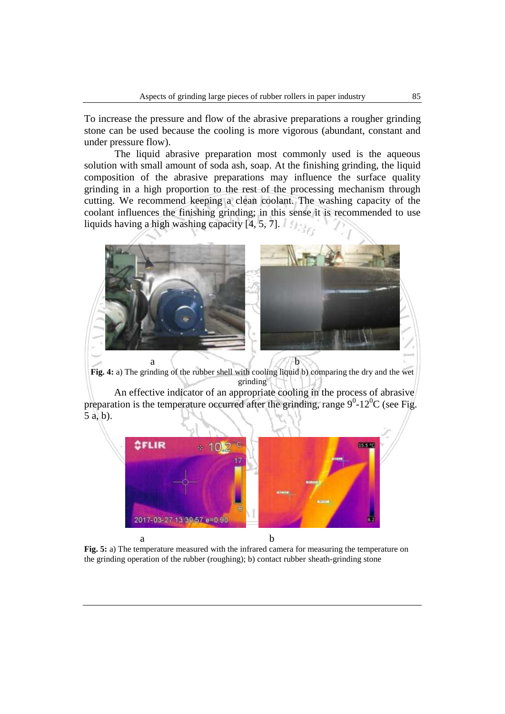To increase the pressure and flow of the abrasive preparations a rougher grinding stone can be used because the cooling is more vigorous (abundant, constant and under pressure flow).

The liquid abrasive preparation most commonly used is the aqueous solution with small amount of soda ash, soap. At the finishing grinding, the liquid composition of the abrasive preparations may influence the surface quality grinding in a high proportion to the rest of the processing mechanism through cutting. We recommend keeping a clean coolant. The washing capacity of the coolant influences the finishing grinding; in this sense it is recommended to use liquids having a high washing capacity [4, 5, 7].



grinding

An effective indicator of an appropriate cooling in the process of abrasive preparation is the temperature occurred after the grinding, range  $9^0$ -12<sup>0</sup>C (see Fig. 5 a, b).



**Fig. 5:** a) The temperature measured with the infrared camera for measuring the temperature on the grinding operation of the rubber (roughing); b) contact rubber sheath-grinding stone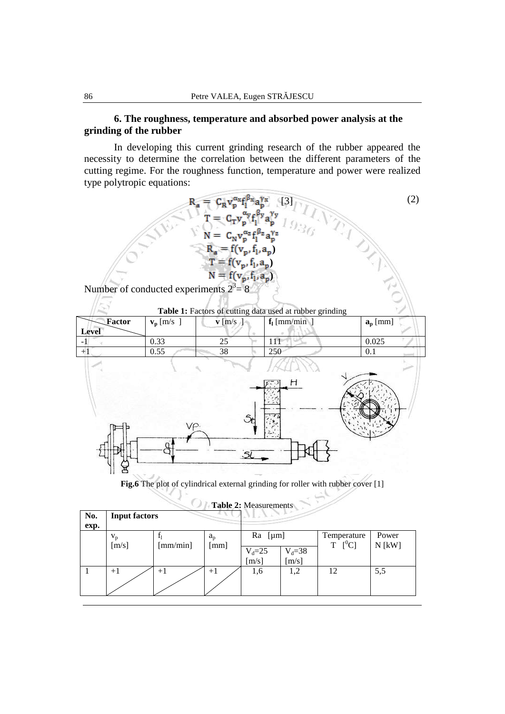### **6. The roughness, temperature and absorbed power analysis at the grinding of the rubber**

In developing this current grinding research of the rubber appeared the necessity to determine the correlation between the different parameters of the cutting regime. For the roughness function, temperature and power were realized type polytropic equations:





**Fig.6** The plot of cylindrical external grinding for roller with rubber cover [1]

| <b>Table 2: Measurements</b> |                      |                  |             |                     |                               |             |          |  |  |  |  |  |
|------------------------------|----------------------|------------------|-------------|---------------------|-------------------------------|-------------|----------|--|--|--|--|--|
| No.                          | <b>Input factors</b> |                  |             |                     | $\mathbf{v} \cdot \mathbf{R}$ |             |          |  |  |  |  |  |
| exp.                         |                      |                  |             |                     |                               |             |          |  |  |  |  |  |
|                              | $V_p$                |                  | $a_{\rm p}$ | Ra [µm]             |                               | Temperature | Power    |  |  |  |  |  |
|                              | [m/s]                | ${\rm [mm/min]}$ | [mm]        |                     |                               | $T$ $[^0C]$ | $N$ [kW] |  |  |  |  |  |
|                              |                      |                  |             |                     | $V_d = 38$                    |             |          |  |  |  |  |  |
|                              |                      |                  |             | $V_d = 25$<br>[m/s] | [m/s]                         |             |          |  |  |  |  |  |
|                              | $+1$                 | $+1$             | $+1$        | 1,6                 | 1,2                           | 12          | 5,5      |  |  |  |  |  |
|                              |                      |                  |             |                     |                               |             |          |  |  |  |  |  |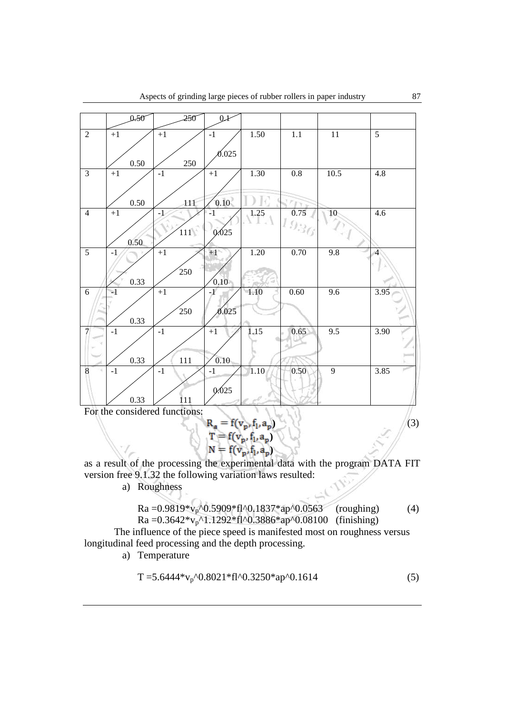|                                 | 0.50                   | 250         | 0 <sup>4</sup> |      |           |                |                |  |  |  |  |
|---------------------------------|------------------------|-------------|----------------|------|-----------|----------------|----------------|--|--|--|--|
| $\sqrt{2}$                      | $+1$                   | $+1$        | $^{\rm -1}$    | 1.50 | 1.1       | $11\,$         | $\overline{5}$ |  |  |  |  |
|                                 |                        |             |                |      |           |                |                |  |  |  |  |
|                                 | 0.50                   | 250         | б.025          |      |           |                |                |  |  |  |  |
| $\overline{3}$                  | $\bf{+1}$              | $-1$        | $+1$           | 1.30 | 0.8       | 10.5           | 4.8            |  |  |  |  |
|                                 |                        |             |                |      |           |                |                |  |  |  |  |
|                                 |                        |             |                |      |           |                |                |  |  |  |  |
|                                 | 0.50                   | łĦ          | 0.10           |      |           |                |                |  |  |  |  |
| $\overline{4}$                  | $+1$                   | $-1$        | -1             | 1.25 | 0.75      | 10             | 4.6            |  |  |  |  |
|                                 |                        | 111         | 0.025          |      | $log_{G}$ |                |                |  |  |  |  |
|                                 | 0.50                   |             |                |      |           |                |                |  |  |  |  |
| $\overline{5}$                  | $-1$                   | $+1$        | $\!+\!1$       | 1.20 | 0.70      | 9.8            | $\overline{4}$ |  |  |  |  |
|                                 |                        |             |                |      |           |                |                |  |  |  |  |
|                                 |                        | 250         |                |      |           |                |                |  |  |  |  |
|                                 | 0.33<br>$\overline{1}$ |             | 0.10           |      |           |                |                |  |  |  |  |
| $\sqrt{6}$                      |                        | $+1$        | -1             | 1.10 | 0.60      | 9.6            | 3.95           |  |  |  |  |
|                                 |                        | 250         | 0.025          |      |           |                |                |  |  |  |  |
|                                 | 0.33                   |             |                |      |           |                |                |  |  |  |  |
|                                 | $^{\rm -1}$            | $^{\rm -1}$ | $+1$           | 1.15 | 0.65      | 9.5            | 3.90           |  |  |  |  |
|                                 |                        |             |                |      |           |                |                |  |  |  |  |
|                                 | 0.33                   | 111         | 0.10           |      |           |                |                |  |  |  |  |
| 8                               | $-1$                   | $-1$        | $-1$           | 1.10 | 0.50      | $\overline{9}$ | 3.85           |  |  |  |  |
|                                 |                        |             |                |      |           |                |                |  |  |  |  |
|                                 |                        |             | 0.025          |      |           |                |                |  |  |  |  |
|                                 | 0.33                   | 111         |                |      |           |                |                |  |  |  |  |
| For the considered functions:   |                        |             |                |      |           |                |                |  |  |  |  |
| $R_a = f(v_p, f_l, a_p)$<br>(3) |                        |             |                |      |           |                |                |  |  |  |  |

as a result of the processing the experimental data with the program DATA FIT version free 9.1.32 the following variation laws resulted:

a) Roughness

Ra =0.9819\*
$$
v_p
$$
^0.5909\*fl^0.1837\*ap^0.0563 (roughing) (4)  
Ra =0.3642\* $v_p$ ^1.1292\*fl^0.3886\*ap^0.08100 (finishing)

**) )**

The influence of the piece speed is manifested most on roughness versus longitudinal feed processing and the depth processing.

a) Temperature

$$
T = 5.6444 \cdot v_p \cdot 0.8021 \cdot f1 \cdot 0.3250 \cdot ap \cdot 0.1614
$$
 (5)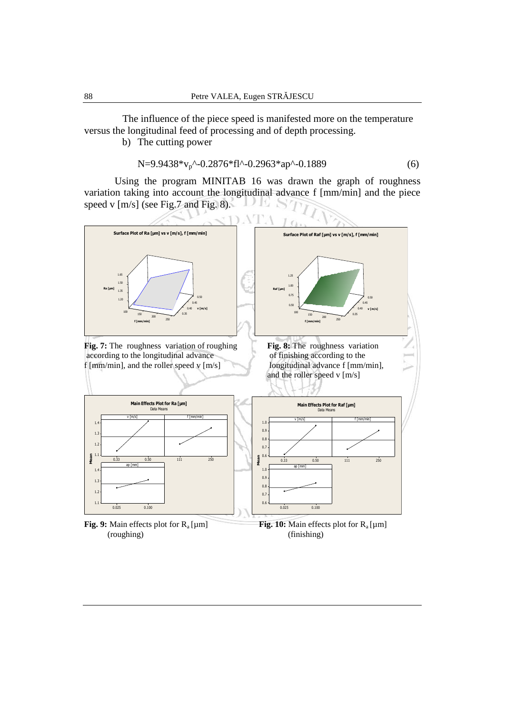The influence of the piece speed is manifested more on the temperature versus the longitudinal feed of processing and of depth processing.

b) The cutting power

$$
N=9.9438*_{V_p}^{\circ}C_0.2876*_{fl}^{\circ}C_0.2963*_{ap}^{\circ}C_0.1889\tag{6}
$$

Using the program MINITAB 16 was drawn the graph of roughness variation taking into account the longitudinal advance f [mm/min] and the piece speed v [m/s] (see Fig.7 and Fig. 8). L S



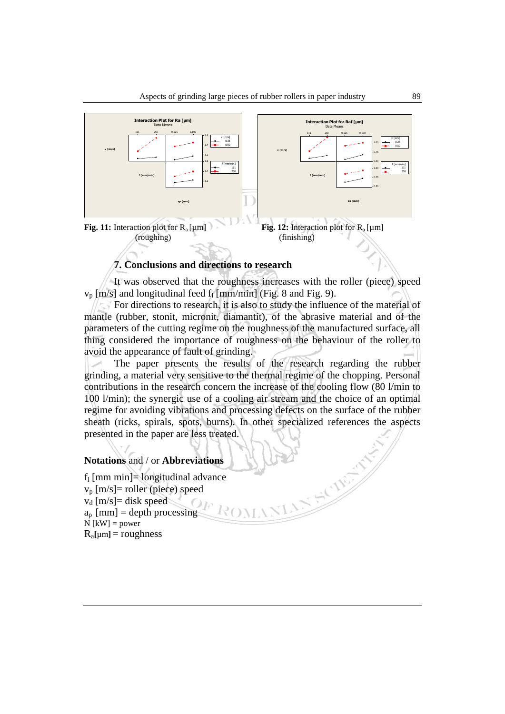

## **7. Conclusions and directions to research**

It was observed that the roughness increases with the roller (piece) speed  $v_p$  [m/s] and longitudinal feed  $f_l$  [mm/min] (Fig. 8 and Fig. 9).

For directions to research, it is also to study the influence of the material of mantle (rubber, stonit, micronit, diamantit), of the abrasive material and of the parameters of the cutting regime on the roughness of the manufactured surface, all thing considered the importance of roughness on the behaviour of the roller to avoid the appearance of fault of grinding.

The paper presents the results of the research regarding the rubber grinding, a material very sensitive to the thermal regime of the chopping. Personal contributions in the research concern the increase of the cooling flow (80 l/min to 100 l/min); the synergic use of a cooling air stream and the choice of an optimal regime for avoiding vibrations and processing defects on the surface of the rubber sheath (ricks, spirals, spots, burns). In other specialized references the aspects presented in the paper are less treated.

#### **Notations** and / or **Abbreviations**

 $f_1$  [mm min]= longitudinal advance  $v_p$  [m/s]= roller (piece) speed<br> $v_d$  [m/s]= disk speed<br> $v_d$  = denth processing  $v_d$  [m/s]= disk speed  $a_p$  [mm] = depth processing  $N$  [kW] = power  $R_a$ [µm] = roughness